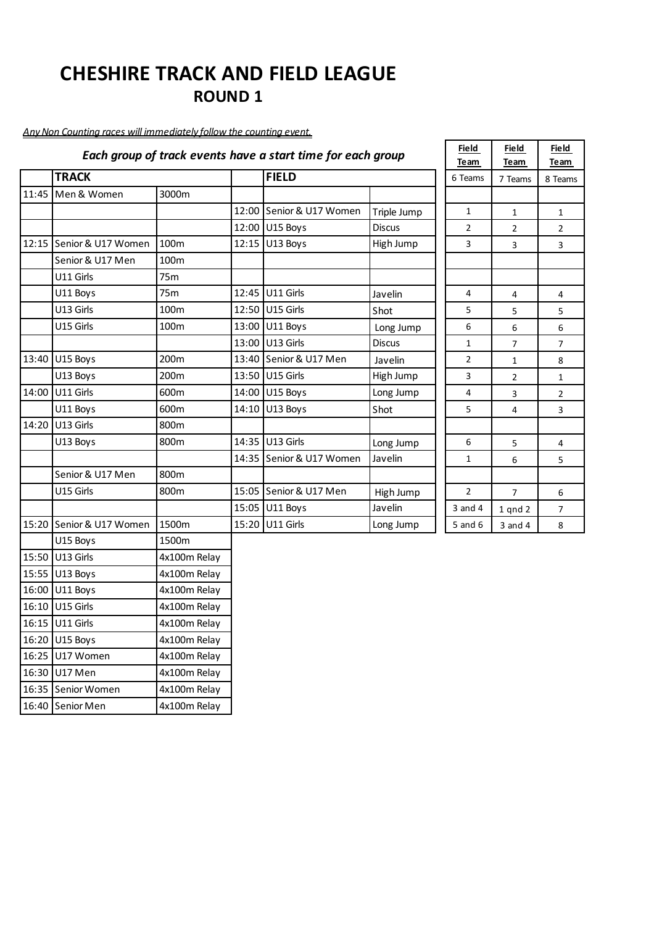### *Any Non Counting races will immediately follow the counting event.*

|       |                          |              |       | Each group of track events have a start time for each group |               | <b>Field</b><br>Team | <b>Field</b><br>Team | Field<br>Team  |
|-------|--------------------------|--------------|-------|-------------------------------------------------------------|---------------|----------------------|----------------------|----------------|
|       | <b>TRACK</b>             |              |       | <b>FIELD</b>                                                |               | 6 Teams              | 7 Teams              | 8 Teams        |
| 11:45 | Men & Women              | 3000m        |       |                                                             |               |                      |                      |                |
|       |                          |              |       | 12:00 Senior & U17 Women                                    | Triple Jump   | $\mathbf{1}$         | $\mathbf{1}$         | $\mathbf{1}$   |
|       |                          |              | 12:00 | U15 Boys                                                    | <b>Discus</b> | $\overline{2}$       | $\overline{2}$       | $\overline{2}$ |
|       | 12:15 Senior & U17 Women | 100m         | 12:15 | U13 Boys                                                    | High Jump     | 3                    | 3                    | 3              |
|       | Senior & U17 Men         | 100m         |       |                                                             |               |                      |                      |                |
|       | U11 Girls                | 75m          |       |                                                             |               |                      |                      |                |
|       | U11 Boys                 | 75m          |       | 12:45 U11 Girls                                             | Javelin       | 4                    | 4                    | 4              |
|       | U13 Girls                | 100m         |       | 12:50 U15 Girls                                             | Shot          | 5                    | 5                    | 5              |
|       | U15 Girls                | 100m         |       | 13:00 U11 Boys                                              | Long Jump     | 6                    | 6                    | 6              |
|       |                          |              | 13:00 | U13 Girls                                                   | <b>Discus</b> | $\mathbf{1}$         | 7                    | $\overline{7}$ |
| 13:40 | U15 Boys                 | 200m         |       | 13:40 Senior & U17 Men                                      | Javelin       | 2                    | 1                    | 8              |
|       | U13 Boys                 | 200m         |       | 13:50 U15 Girls                                             | High Jump     | 3                    | $\overline{2}$       | $\mathbf{1}$   |
| 14:00 | U11 Girls                | 600m         | 14:00 | U15 Boys                                                    | Long Jump     | 4                    | 3                    | $\overline{2}$ |
|       | U11 Boys                 | 600m         | 14:10 | U13 Boys                                                    | Shot          | 5                    | 4                    | 3              |
| 14:20 | U13 Girls                | 800m         |       |                                                             |               |                      |                      |                |
|       | U13 Boys                 | 800m         | 14:35 | U13 Girls                                                   | Long Jump     | 6                    | 5                    | 4              |
|       |                          |              | 14:35 | Senior & U17 Women                                          | Javelin       | $\mathbf{1}$         | 6                    | 5              |
|       | Senior & U17 Men         | 800m         |       |                                                             |               |                      |                      |                |
|       | U15 Girls                | 800m         |       | 15:05 Senior & U17 Men                                      | High Jump     | $\overline{2}$       | $\overline{7}$       | 6              |
|       |                          |              | 15:05 | U11 Boys                                                    | Javelin       | $3$ and $4$          | $1$ qnd $2$          | 7              |
| 15:20 | Senior & U17 Women       | 1500m        | 15:20 | U11 Girls                                                   | Long Jump     | 5 and 6              | 3 and 4              | 8              |
|       | U15 Boys                 | 1500m        |       |                                                             |               |                      |                      |                |
|       | 15:50 U13 Girls          | 4x100m Relay |       |                                                             |               |                      |                      |                |
| 15:55 | U13 Boys                 | 4x100m Relay |       |                                                             |               |                      |                      |                |
|       | 16:00 U11 Boys           | 4x100m Relay |       |                                                             |               |                      |                      |                |
|       | 16:10 U15 Girls          | 4x100m Relay |       |                                                             |               |                      |                      |                |
|       | 16:15 U11 Girls          | 4x100m Relay |       |                                                             |               |                      |                      |                |
|       | 16:20 U15 Boys           | 4x100m Relay |       |                                                             |               |                      |                      |                |
|       | 16:25 U17 Women          | 4x100m Relay |       |                                                             |               |                      |                      |                |
|       | 16:30 U17 Men            | 4x100m Relay |       |                                                             |               |                      |                      |                |
|       | 16:35 Senior Women       | 4x100m Relay |       |                                                             |               |                      |                      |                |
|       | 16:40 Senior Men         | 4x100m Relay |       |                                                             |               |                      |                      |                |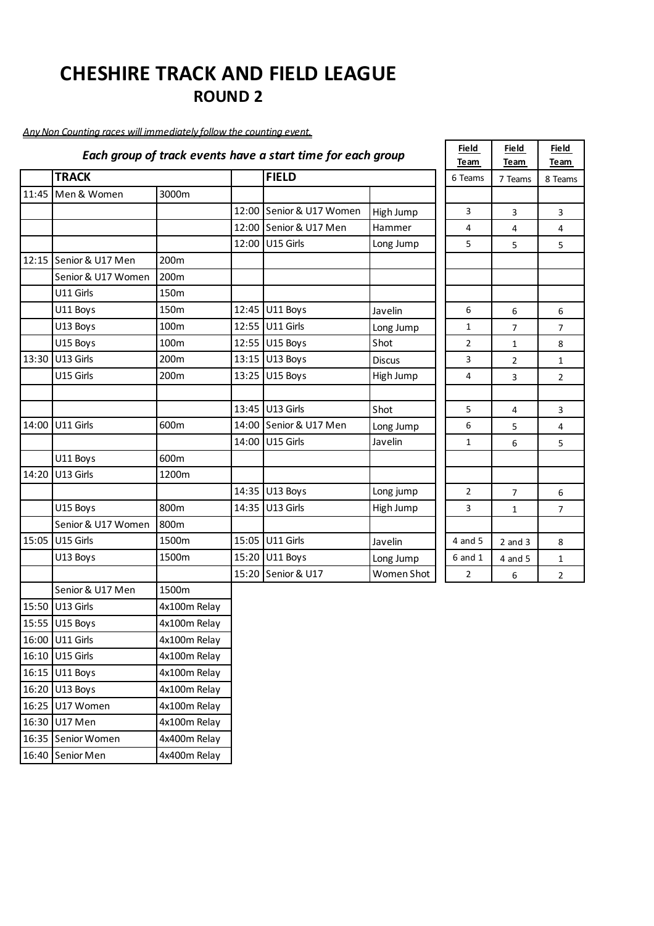### *Any Non Counting races will immediately follow the counting event.*

16:30 U17 Men 4x100m Relay 16:35 Senior Women 4x400m Relay 16:40 Senior Men 4x400m Relay

|              |                          |                  |       | Each group of track events have a start time for each group |               | <b>Field</b><br>Team | <b>Field</b><br>Team | <b>Field</b><br>Team |  |
|--------------|--------------------------|------------------|-------|-------------------------------------------------------------|---------------|----------------------|----------------------|----------------------|--|
| <b>TRACK</b> |                          |                  |       | <b>FIELD</b>                                                |               | 6 Teams              | 7 Teams              | 8 Teams              |  |
|              | 11:45 Men & Women        | 3000m            |       |                                                             |               |                      |                      |                      |  |
|              |                          |                  | 12:00 | Senior & U17 Women                                          | High Jump     | 3                    | 3                    | 3                    |  |
|              |                          |                  |       | 12:00 Senior & U17 Men                                      | Hammer        | 4                    | 4                    | 4                    |  |
|              |                          |                  | 12:00 | U15 Girls                                                   | Long Jump     | 5                    | 5                    | 5                    |  |
|              | 12:15   Senior & U17 Men | 200 <sub>m</sub> |       |                                                             |               |                      |                      |                      |  |
|              | Senior & U17 Women       | 200m             |       |                                                             |               |                      |                      |                      |  |
|              | U11 Girls                | 150m             |       |                                                             |               |                      |                      |                      |  |
|              | U11 Boys                 | 150 <sub>m</sub> |       | 12:45 U11 Boys                                              | Javelin       | 6                    | 6                    | 6                    |  |
|              | U13 Boys                 | 100m             |       | 12:55 U11 Girls                                             | Long Jump     | $\mathbf{1}$         | 7                    | 7                    |  |
|              | U15 Boys                 | 100m             |       | 12:55 U15 Boys                                              | Shot          | $\overline{2}$       | 1                    | 8                    |  |
| 13:30        | U13 Girls                | 200m             |       | 13:15 U13 Boys                                              | <b>Discus</b> | 3                    | 2                    | $\mathbf{1}$         |  |
|              | U15 Girls                | 200m             | 13:25 | U15 Boys                                                    | High Jump     | 4                    | 3                    | $\overline{2}$       |  |
|              |                          |                  |       |                                                             |               |                      |                      |                      |  |
|              |                          |                  | 13:45 | U13 Girls                                                   | Shot          | 5                    | 4                    | 3                    |  |
| 14:00        | U11 Girls                | 600m             | 14:00 | Senior & U17 Men                                            | Long Jump     | 6                    | 5                    | 4                    |  |
|              |                          |                  | 14:00 | U15 Girls                                                   | Javelin       | $\mathbf{1}$         | 6                    | 5                    |  |
|              | U11 Boys                 | 600m             |       |                                                             |               |                      |                      |                      |  |
| 14:20        | U13 Girls                | 1200m            |       |                                                             |               |                      |                      |                      |  |
|              |                          |                  | 14:35 | U13 Boys                                                    | Long jump     | $\overline{2}$       | 7                    | 6                    |  |
|              | U15 Boys                 | 800m             | 14:35 | U13 Girls                                                   | High Jump     | 3                    | 1                    | 7                    |  |
|              | Senior & U17 Women       | 800m             |       |                                                             |               |                      |                      |                      |  |
| 15:05        | U15 Girls                | 1500m            | 15:05 | U11 Girls                                                   | Javelin       | 4 and 5              | $2$ and $3$          | 8                    |  |
|              | U13 Boys                 | 1500m            | 15:20 | U11 Boys                                                    | Long Jump     | 6 and 1              | 4 and 5              | 1                    |  |
|              |                          |                  | 15:20 | Senior & U17                                                | Women Shot    | $\overline{2}$       | 6                    | $\overline{2}$       |  |
|              | Senior & U17 Men         | 1500m            |       |                                                             |               |                      |                      |                      |  |
|              | 15:50 U13 Girls          | 4x100m Relay     |       |                                                             |               |                      |                      |                      |  |
|              | 15:55 U15 Boys           | 4x100m Relay     |       |                                                             |               |                      |                      |                      |  |
|              | 16:00 U11 Girls          | 4x100m Relay     |       |                                                             |               |                      |                      |                      |  |
|              | 16:10 U15 Girls          | 4x100m Relay     |       |                                                             |               |                      |                      |                      |  |
|              | 16:15 U11 Boys           | 4x100m Relay     |       |                                                             |               |                      |                      |                      |  |
|              | 16:20 U13 Boys           | 4x100m Relay     |       |                                                             |               |                      |                      |                      |  |
|              | 16:25 U17 Women          | 4x100m Relay     |       |                                                             |               |                      |                      |                      |  |

┱

┱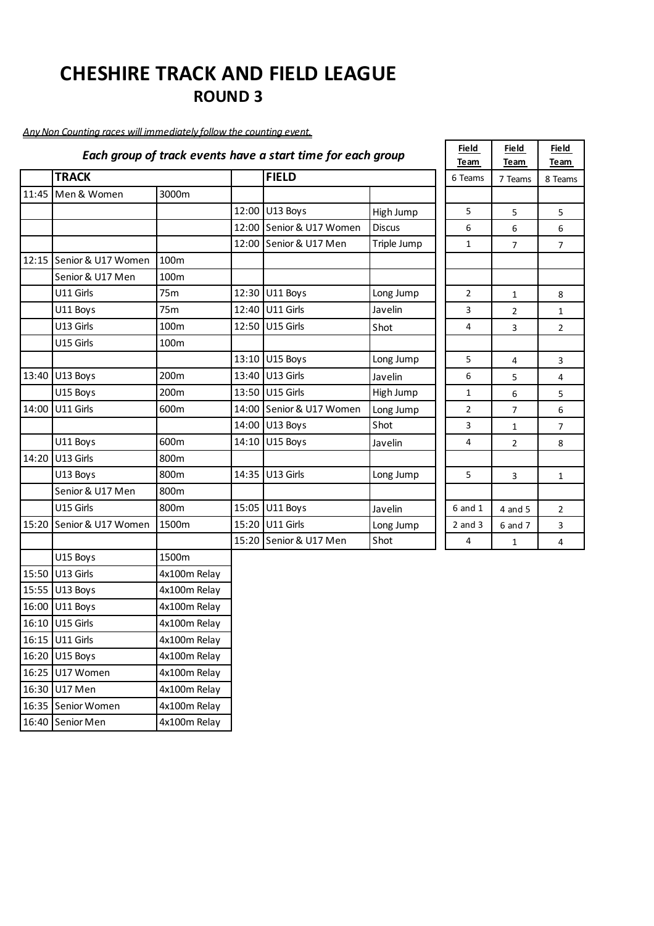### *Any Non Counting races will immediately follow the counting event.*

16:15 U11 Girls 4x100m Relay 16:20 U15 Boys 4x100m Relay 16:25 U17 Women 4x100m Relay 16:30 U17 Men 4x100m Relay 16:35 Senior Women 4x100m Relay 16:40 Senior Men 4x100m Relay

|       |                    |                 |       | Each group of track events have a start time for each group |               | <b>Field</b><br>Team | <b>Field</b><br>Team | <b>Fie</b><br>Tea |
|-------|--------------------|-----------------|-------|-------------------------------------------------------------|---------------|----------------------|----------------------|-------------------|
|       | <b>TRACK</b>       |                 |       | <b>FIELD</b>                                                |               | 6 Teams              | 7 Teams              | 8 Te              |
| 11:45 | Men & Women        | 3000m           |       |                                                             |               |                      |                      |                   |
|       |                    |                 | 12:00 | U13 Boys                                                    | High Jump     | 5                    | 5                    | 5                 |
|       |                    |                 | 12:00 | Senior & U17 Women                                          | <b>Discus</b> | 6                    | 6                    | 6                 |
|       |                    |                 | 12:00 | Senior & U17 Men                                            | Triple Jump   | $\mathbf{1}$         | $\overline{7}$       | 7                 |
| 12:15 | Senior & U17 Women | 100m            |       |                                                             |               |                      |                      |                   |
|       | Senior & U17 Men   | 100m            |       |                                                             |               |                      |                      |                   |
|       | U11 Girls          | 75m             |       | 12:30 U11 Boys                                              | Long Jump     | $\overline{2}$       | 1                    | 8                 |
|       | U11 Boys           | 75 <sub>m</sub> | 12:40 | U11 Girls                                                   | Javelin       | $\overline{3}$       | $\overline{2}$       | 1                 |
|       | U13 Girls          | 100m            | 12:50 | U15 Girls                                                   | Shot          | 4                    | 3                    | $\overline{2}$    |
|       | U15 Girls          | 100m            |       |                                                             |               |                      |                      |                   |
|       |                    |                 | 13:10 | U15 Boys                                                    | Long Jump     | 5                    | $\overline{4}$       | 3                 |
| 13:40 | U13 Boys           | 200m            | 13:40 | U13 Girls                                                   | Javelin       | 6                    | 5                    | 4                 |
|       | U15 Boys           | 200m            | 13:50 | U15 Girls                                                   | High Jump     | $\mathbf{1}$         | 6                    | 5                 |
| 14:00 | U11 Girls          | 600m            |       | 14:00 Senior & U17 Women                                    | Long Jump     | $\overline{2}$       | $\overline{7}$       | 6                 |
|       |                    |                 | 14:00 | U13 Boys                                                    | Shot          | 3                    | $\mathbf{1}$         | 7                 |
|       | U11 Boys           | 600m            | 14:10 | U15 Boys                                                    | Javelin       | 4                    | $\overline{2}$       | 8                 |
| 14:20 | U13 Girls          | 800m            |       |                                                             |               |                      |                      |                   |
|       | U13 Boys           | 800m            | 14:35 | U13 Girls                                                   | Long Jump     | 5                    | 3                    | $\mathbf{1}$      |
|       | Senior & U17 Men   | 800m            |       |                                                             |               |                      |                      |                   |
|       | U15 Girls          | 800m            | 15:05 | U11 Boys                                                    | Javelin       | $6$ and $1$          | 4 and 5              | $\overline{2}$    |
| 15:20 | Senior & U17 Women | 1500m           | 15:20 | U11 Girls                                                   | Long Jump     | $2$ and $3$          | 6 and 7              | 3                 |
|       |                    |                 | 15:20 | Senior & U17 Men                                            | Shot          | 4                    | $\mathbf{1}$         | 4                 |
|       | U15 Boys           | 1500m           |       |                                                             |               |                      |                      |                   |
| 15:50 | U13 Girls          | 4x100m Relay    |       |                                                             |               |                      |                      |                   |
| 15:55 | U13 Boys           | 4x100m Relay    |       |                                                             |               |                      |                      |                   |
| 16:00 | U11 Boys           | 4x100m Relay    |       |                                                             |               |                      |                      |                   |
|       | 16:10 U15 Girls    | 4x100m Relay    |       |                                                             |               |                      |                      |                   |

| <b>Field</b><br>Team | <u>Field</u><br>Team | <b>Field</b><br>Team    |
|----------------------|----------------------|-------------------------|
| 6 Teams              | 7 Teams              | 8 Teams                 |
|                      |                      |                         |
| 5                    | 5                    | 5                       |
| 6                    | 6                    | 6                       |
| 1                    | 7                    | 7                       |
|                      |                      |                         |
|                      |                      |                         |
| 2                    | $\mathbf 1$          | 8                       |
| 3                    | 2                    | $\mathbf 1$             |
| 4                    | 3                    | 2                       |
|                      |                      |                         |
| 5                    | 4                    | 3                       |
| 6                    | 5                    | $\overline{\mathbf{4}}$ |
| $\overline{1}$       | 6                    | 5                       |
| $\overline{2}$       | 7                    | 6                       |
| 3                    | 1                    | 7                       |
| 4                    | $\overline{c}$       | 8                       |
|                      |                      |                         |
| 5                    | 3                    | 1                       |
|                      |                      |                         |
| $6$ and $1$          | 4 and 5              | $\overline{\mathbf{c}}$ |
| $2$ and $3$          | 6 and 7              | 3                       |
| 4                    | 1                    | 4                       |